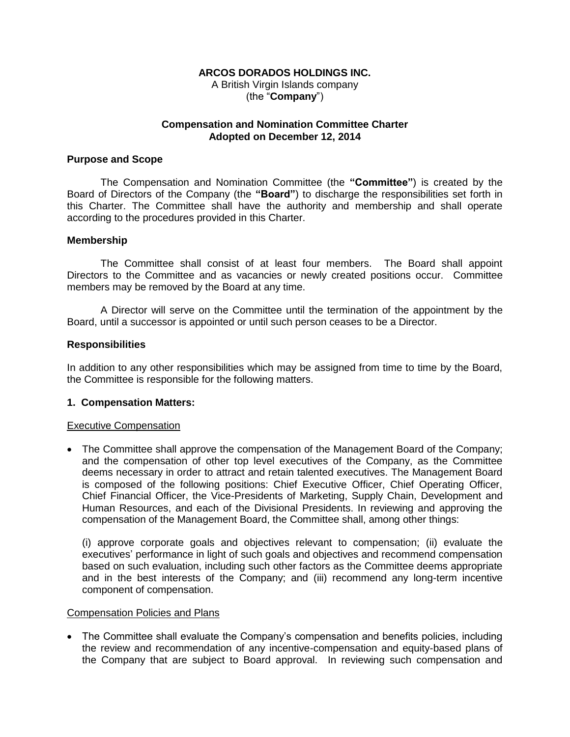### **ARCOS DORADOS HOLDINGS INC.**

A British Virgin Islands company (the "**Company**")

### **Compensation and Nomination Committee Charter Adopted on December 12, 2014**

### **Purpose and Scope**

The Compensation and Nomination Committee (the **"Committee"**) is created by the Board of Directors of the Company (the **"Board"**) to discharge the responsibilities set forth in this Charter. The Committee shall have the authority and membership and shall operate according to the procedures provided in this Charter.

#### **Membership**

The Committee shall consist of at least four members. The Board shall appoint Directors to the Committee and as vacancies or newly created positions occur. Committee members may be removed by the Board at any time.

A Director will serve on the Committee until the termination of the appointment by the Board, until a successor is appointed or until such person ceases to be a Director.

#### **Responsibilities**

In addition to any other responsibilities which may be assigned from time to time by the Board, the Committee is responsible for the following matters.

### **1. Compensation Matters:**

#### Executive Compensation

 The Committee shall approve the compensation of the Management Board of the Company; and the compensation of other top level executives of the Company, as the Committee deems necessary in order to attract and retain talented executives. The Management Board is composed of the following positions: Chief Executive Officer, Chief Operating Officer, Chief Financial Officer, the Vice-Presidents of Marketing, Supply Chain, Development and Human Resources, and each of the Divisional Presidents. In reviewing and approving the compensation of the Management Board, the Committee shall, among other things:

(i) approve corporate goals and objectives relevant to compensation; (ii) evaluate the executives' performance in light of such goals and objectives and recommend compensation based on such evaluation, including such other factors as the Committee deems appropriate and in the best interests of the Company; and (iii) recommend any long-term incentive component of compensation.

#### Compensation Policies and Plans

• The Committee shall evaluate the Company's compensation and benefits policies, including the review and recommendation of any incentive-compensation and equity-based plans of the Company that are subject to Board approval. In reviewing such compensation and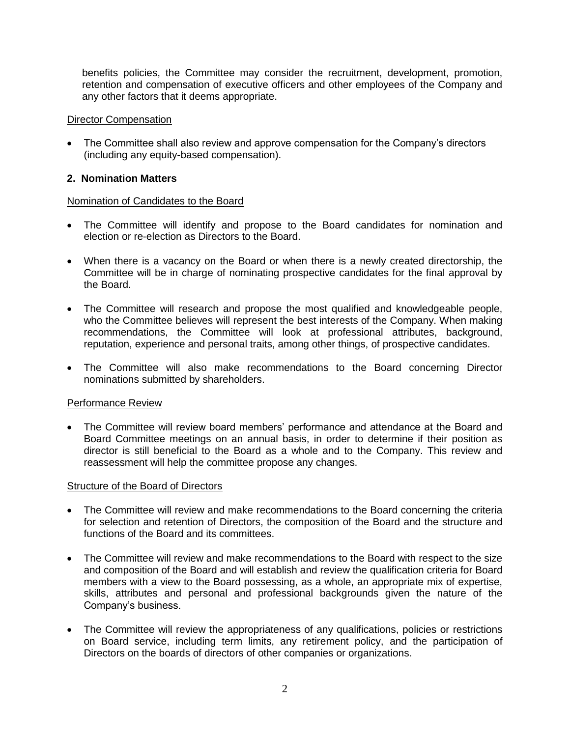benefits policies, the Committee may consider the recruitment, development, promotion, retention and compensation of executive officers and other employees of the Company and any other factors that it deems appropriate.

## Director Compensation

• The Committee shall also review and approve compensation for the Company's directors (including any equity-based compensation).

## **2. Nomination Matters**

### Nomination of Candidates to the Board

- The Committee will identify and propose to the Board candidates for nomination and election or re-election as Directors to the Board.
- When there is a vacancy on the Board or when there is a newly created directorship, the Committee will be in charge of nominating prospective candidates for the final approval by the Board.
- The Committee will research and propose the most qualified and knowledgeable people, who the Committee believes will represent the best interests of the Company. When making recommendations, the Committee will look at professional attributes, background, reputation, experience and personal traits, among other things, of prospective candidates.
- The Committee will also make recommendations to the Board concerning Director nominations submitted by shareholders.

# Performance Review

 The Committee will review board members' performance and attendance at the Board and Board Committee meetings on an annual basis, in order to determine if their position as director is still beneficial to the Board as a whole and to the Company. This review and reassessment will help the committee propose any changes.

### **Structure of the Board of Directors**

- The Committee will review and make recommendations to the Board concerning the criteria for selection and retention of Directors, the composition of the Board and the structure and functions of the Board and its committees.
- The Committee will review and make recommendations to the Board with respect to the size and composition of the Board and will establish and review the qualification criteria for Board members with a view to the Board possessing, as a whole, an appropriate mix of expertise, skills, attributes and personal and professional backgrounds given the nature of the Company's business.
- The Committee will review the appropriateness of any qualifications, policies or restrictions on Board service, including term limits, any retirement policy, and the participation of Directors on the boards of directors of other companies or organizations.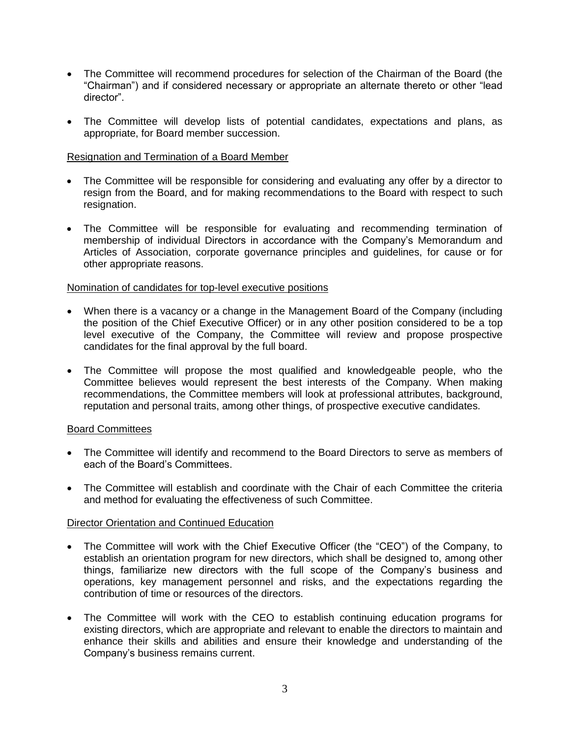- The Committee will recommend procedures for selection of the Chairman of the Board (the "Chairman") and if considered necessary or appropriate an alternate thereto or other "lead director".
- The Committee will develop lists of potential candidates, expectations and plans, as appropriate, for Board member succession.

### Resignation and Termination of a Board Member

- The Committee will be responsible for considering and evaluating any offer by a director to resign from the Board, and for making recommendations to the Board with respect to such resignation.
- The Committee will be responsible for evaluating and recommending termination of membership of individual Directors in accordance with the Company's Memorandum and Articles of Association, corporate governance principles and guidelines, for cause or for other appropriate reasons.

### Nomination of candidates for top-level executive positions

- When there is a vacancy or a change in the Management Board of the Company (including the position of the Chief Executive Officer) or in any other position considered to be a top level executive of the Company, the Committee will review and propose prospective candidates for the final approval by the full board.
- The Committee will propose the most qualified and knowledgeable people, who the Committee believes would represent the best interests of the Company. When making recommendations, the Committee members will look at professional attributes, background, reputation and personal traits, among other things, of prospective executive candidates.

### Board Committees

- The Committee will identify and recommend to the Board Directors to serve as members of each of the Board's Committees.
- The Committee will establish and coordinate with the Chair of each Committee the criteria and method for evaluating the effectiveness of such Committee.

### Director Orientation and Continued Education

- The Committee will work with the Chief Executive Officer (the "CEO") of the Company, to establish an orientation program for new directors, which shall be designed to, among other things, familiarize new directors with the full scope of the Company's business and operations, key management personnel and risks, and the expectations regarding the contribution of time or resources of the directors.
- The Committee will work with the CEO to establish continuing education programs for existing directors, which are appropriate and relevant to enable the directors to maintain and enhance their skills and abilities and ensure their knowledge and understanding of the Company's business remains current.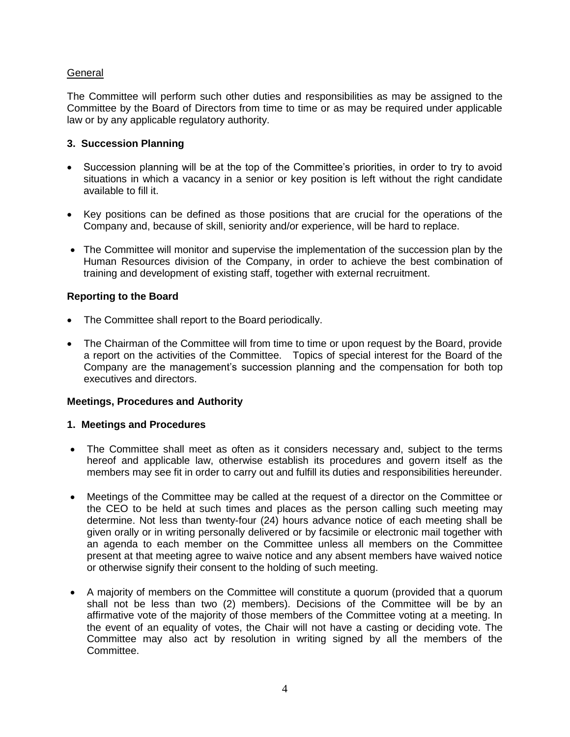# **General**

The Committee will perform such other duties and responsibilities as may be assigned to the Committee by the Board of Directors from time to time or as may be required under applicable law or by any applicable regulatory authority.

# **3. Succession Planning**

- Succession planning will be at the top of the Committee's priorities, in order to try to avoid situations in which a vacancy in a senior or key position is left without the right candidate available to fill it.
- Key positions can be defined as those positions that are crucial for the operations of the Company and, because of skill, seniority and/or experience, will be hard to replace.
- The Committee will monitor and supervise the implementation of the succession plan by the Human Resources division of the Company, in order to achieve the best combination of training and development of existing staff, together with external recruitment.

# **Reporting to the Board**

- The Committee shall report to the Board periodically.
- The Chairman of the Committee will from time to time or upon request by the Board, provide a report on the activities of the Committee. Topics of special interest for the Board of the Company are the management's succession planning and the compensation for both top executives and directors.

# **Meetings, Procedures and Authority**

### **1. Meetings and Procedures**

- The Committee shall meet as often as it considers necessary and, subject to the terms hereof and applicable law, otherwise establish its procedures and govern itself as the members may see fit in order to carry out and fulfill its duties and responsibilities hereunder.
- Meetings of the Committee may be called at the request of a director on the Committee or the CEO to be held at such times and places as the person calling such meeting may determine. Not less than twenty-four (24) hours advance notice of each meeting shall be given orally or in writing personally delivered or by facsimile or electronic mail together with an agenda to each member on the Committee unless all members on the Committee present at that meeting agree to waive notice and any absent members have waived notice or otherwise signify their consent to the holding of such meeting.
- A majority of members on the Committee will constitute a quorum (provided that a quorum shall not be less than two (2) members). Decisions of the Committee will be by an affirmative vote of the majority of those members of the Committee voting at a meeting. In the event of an equality of votes, the Chair will not have a casting or deciding vote. The Committee may also act by resolution in writing signed by all the members of the Committee.